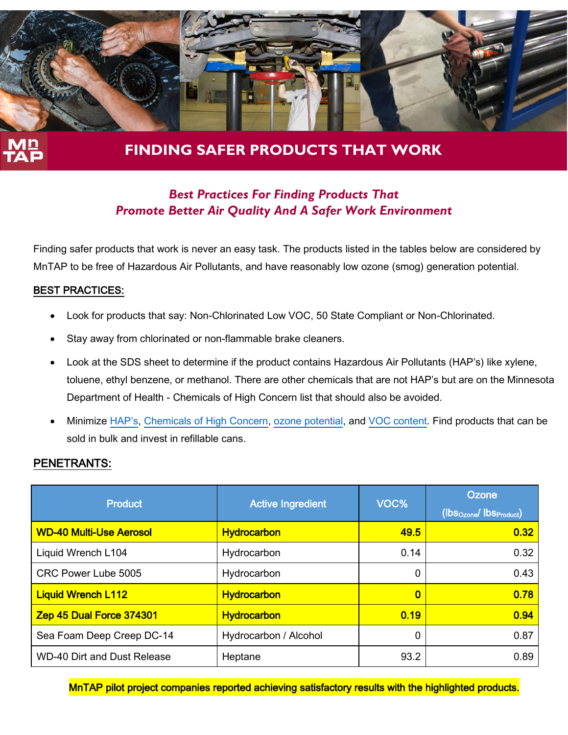

# **FINDING SAFER PRODUCTS THAT WORK**

## *Best Practices For Finding Products That Promote Better Air Quality And A Safer Work Environment*

Finding safer products that work is never an easy task. The products listed in the tables below are considered by MnTAP to be free of Hazardous Air Pollutants, and have reasonably low ozone (smog) generation potential.

#### BEST PRACTICES:

- Look for products that say: Non-Chlorinated Low VOC, 50 State Compliant or Non-Chlorinated.
- Stay away from chlorinated or non-flammable brake cleaners.
- Look at the SDS sheet to determine if the product contains Hazardous Air Pollutants (HAP's) like xylene, toluene, ethyl benzene, or methanol. There are other chemicals that are not HAP's but are on the Minnesota Department of Health - Chemicals of High Concern list that should also be avoided.
- Minimize [HAP](http://www.epa.gov/haps/initial-list-hazardous-air-pollutants-modifications)'s, [Chemicals of High Concern,](http://www.health.state.mn.us/divs/eh/hazardous/topics/toxfreekids/chclist/mdhchc2013.pdf) ozone [potential,](http://www.arb.ca.gov/regact/2009/mir2009/mir10.pdf) and [VOC content.](https://www.pca.state.mn.us/quick-links/reducing-voc-emissions-your-business) Find products that can be sold in bulk and invest in refillable cans.

#### PENETRANTS:

| <b>Product</b>                     | <b>Active Ingredient</b> | VOC% | Ozone<br>(IbS <sub>Ozone</sub> /IbS <sub>Product</sub> ) |
|------------------------------------|--------------------------|------|----------------------------------------------------------|
| <b>WD-40 Multi-Use Aerosol</b>     | <b>Hydrocarbon</b>       | 49.5 | 0.32                                                     |
| Liquid Wrench L104                 | Hydrocarbon              | 0.14 | 0.32                                                     |
| CRC Power Lube 5005                | Hydrocarbon              | 0    | 0.43                                                     |
| <b>Liquid Wrench L112</b>          | <b>Hydrocarbon</b>       | 0    | 0.78                                                     |
| Zep 45 Dual Force 374301           | <b>Hydrocarbon</b>       | 0.19 | 0.94                                                     |
| Sea Foam Deep Creep DC-14          | Hydrocarbon / Alcohol    | 0    | 0.87                                                     |
| <b>WD-40 Dirt and Dust Release</b> | Heptane                  | 93.2 | 0.89                                                     |

MnTAP pilot project companies reported achieving satisfactory results with the highlighted products.